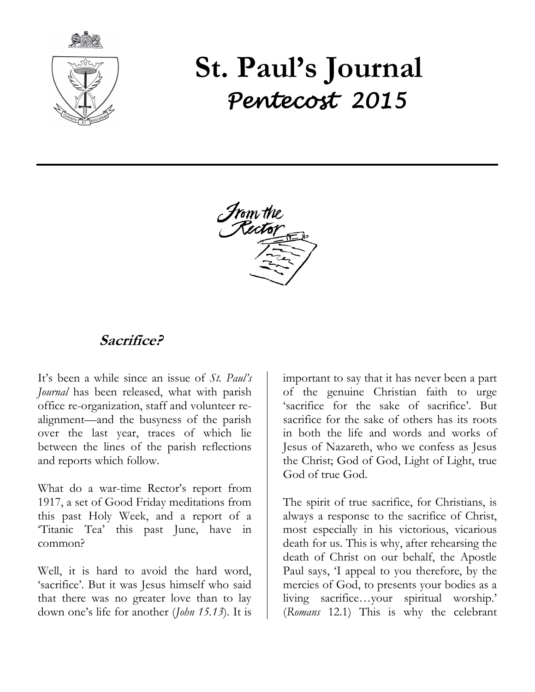

# **St. Paul's Journal** *Pentecost 2015*

From the<br>*Rector* 

### **Sacrifice?**

It's been a while since an issue of *St. Paul's Journal* has been released, what with parish office re-organization, staff and volunteer realignment—and the busyness of the parish over the last year, traces of which lie between the lines of the parish reflections and reports which follow.

What do a war-time Rector's report from 1917, a set of Good Friday meditations from this past Holy Week, and a report of a 'Titanic Tea' this past June, have in common?

Well, it is hard to avoid the hard word, 'sacrifice'. But it was Jesus himself who said that there was no greater love than to lay down one's life for another (*John 15.13*). It is

important to say that it has never been a part of the genuine Christian faith to urge 'sacrifice for the sake of sacrifice'. But sacrifice for the sake of others has its roots in both the life and words and works of Jesus of Nazareth, who we confess as Jesus the Christ; God of God, Light of Light, true God of true God.

The spirit of true sacrifice, for Christians, is always a response to the sacrifice of Christ, most especially in his victorious, vicarious death for us. This is why, after rehearsing the death of Christ on our behalf, the Apostle Paul says, 'I appeal to you therefore, by the mercies of God, to presents your bodies as a living sacrifice…your spiritual worship.' (*Romans* 12.1) This is why the celebrant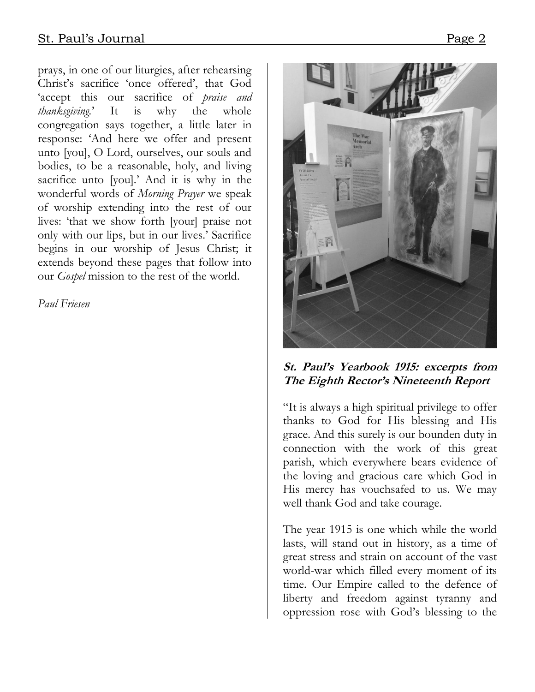prays, in one of our liturgies, after rehearsing Christ's sacrifice 'once offered', that God 'accept this our sacrifice of *praise and thanksgiving.*' It is why the whole congregation says together, a little later in response: 'And here we offer and present unto [you], O Lord, ourselves, our souls and bodies, to be a reasonable, holy, and living sacrifice unto [you].' And it is why in the wonderful words of *Morning Prayer* we speak of worship extending into the rest of our lives: 'that we show forth [your] praise not only with our lips, but in our lives.' Sacrifice begins in our worship of Jesus Christ; it extends beyond these pages that follow into our *Gospel* mission to the rest of the world.

*Paul Friesen*



#### **St. Paul's Yearbook 1915: excerpts from The Eighth Rector's Nineteenth Report**

"It is always a high spiritual privilege to offer thanks to God for His blessing and His grace. And this surely is our bounden duty in connection with the work of this great parish, which everywhere bears evidence of the loving and gracious care which God in His mercy has vouchsafed to us. We may well thank God and take courage.

The year 1915 is one which while the world lasts, will stand out in history, as a time of great stress and strain on account of the vast world-war which filled every moment of its time. Our Empire called to the defence of liberty and freedom against tyranny and oppression rose with God's blessing to the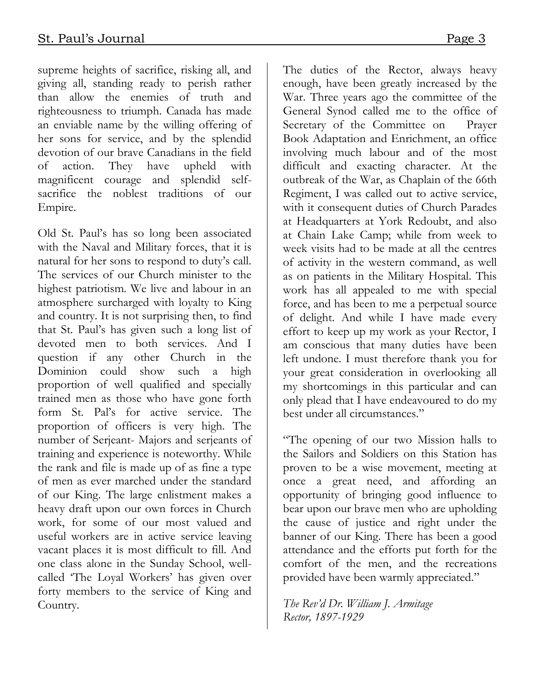supreme heights of sacrifice, risking all, and giving all, standing ready to perish rather than allow the enemies of truth and righteousness to triumph. Canada has made an enviable name by the willing offering of her sons for service, and by the splendid devotion of our brave Canadians in the field of action. They have upheld with magnificent courage and splendid selfsacrifice the noblest traditions of our Empire.

Old St. Paul's has so long been associated with the Naval and Military forces, that it is natural for her sons to respond to duty's call. The services of our Church minister to the highest patriotism. We live and labour in an atmosphere surcharged with loyalty to King and country. It is not surprising then, to find that St. Paul's has given such a long list of devoted men to both services. And I question if any other Church in the Dominion could show such a high proportion of well qualified and specially trained men as those who have gone forth form St. Pal's for active service. The proportion of officers is very high. The number of Serjeant- Majors and serjeants of training and experience is noteworthy. While the rank and file is made up of as fine a type of men as ever marched under the standard of our King. The large enlistment makes a heavy draft upon our own forces in Church work, for some of our most valued and useful workers are in active service leaving vacant places it is most difficult to fill. And one class alone in the Sunday School, wellcalled 'The Loyal Workers' has given over forty members to the service of King and Country.

The duties of the Rector, always heavy enough, have been greatly increased by the War. Three years ago the committee of the General Synod called me to the office of Secretary of the Committee on Prayer Book Adaptation and Enrichment, an office involving much labour and of the most difficult and exacting character. At the outbreak of the War, as Chaplain of the 66th Regiment, I was called out to active service, with it consequent duties of Church Parades at Headquarters at York Redoubt, and also at Chain Lake Camp; while from week to week visits had to be made at all the centres of activity in the western command, as well as on patients in the Military Hospital. This work has all appealed to me with special force, and has been to me a perpetual source of delight. And while I have made every effort to keep up my work as your Rector, I am conscious that many duties have been left undone. I must therefore thank you for your great consideration in overlooking all my shortcomings in this particular and can only plead that I have endeavoured to do my best under all circumstances."

"The opening of our two Mission halls to the Sailors and Soldiers on this Station has proven to be a wise movement, meeting at once a great need, and affording an opportunity of bringing good influence to bear upon our brave men who are upholding the cause of justice and right under the banner of our King. There has been a good attendance and the efforts put forth for the comfort of the men, and the recreations provided have been warmly appreciated."

*The Rev'd Dr. William J. Armitage Rector, 1897-1929*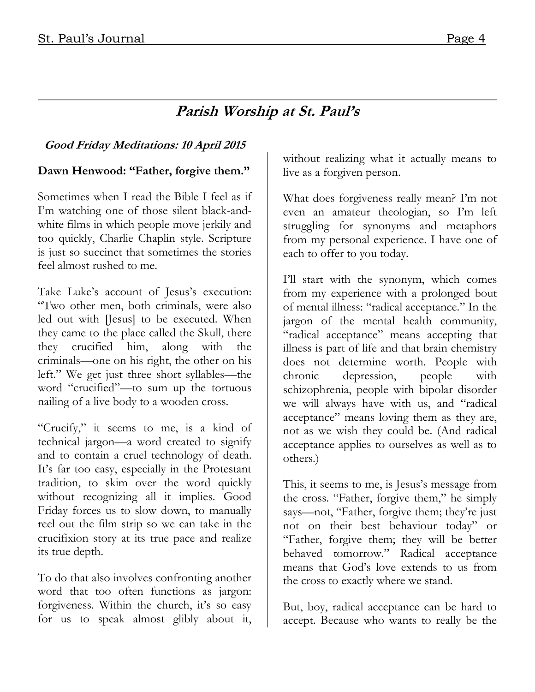# **Parish Worship at St. Paul's**

#### **Good Friday Meditations: 10 April 2015**

#### **Dawn Henwood: "Father, forgive them."**

Sometimes when I read the Bible I feel as if I'm watching one of those silent black-andwhite films in which people move jerkily and too quickly, Charlie Chaplin style. Scripture is just so succinct that sometimes the stories feel almost rushed to me.

Take Luke's account of Jesus's execution: "Two other men, both criminals, were also led out with [Jesus] to be executed. When they came to the place called the Skull, there they crucified him, along with the criminals—one on his right, the other on his left." We get just three short syllables—the word "crucified"—to sum up the tortuous nailing of a live body to a wooden cross.

"Crucify," it seems to me, is a kind of technical jargon—a word created to signify and to contain a cruel technology of death. It's far too easy, especially in the Protestant tradition, to skim over the word quickly without recognizing all it implies. Good Friday forces us to slow down, to manually reel out the film strip so we can take in the crucifixion story at its true pace and realize its true depth.

To do that also involves confronting another word that too often functions as jargon: forgiveness. Within the church, it's so easy for us to speak almost glibly about it, without realizing what it actually means to live as a forgiven person.

What does forgiveness really mean? I'm not even an amateur theologian, so I'm left struggling for synonyms and metaphors from my personal experience. I have one of each to offer to you today.

I'll start with the synonym, which comes from my experience with a prolonged bout of mental illness: "radical acceptance." In the jargon of the mental health community, "radical acceptance" means accepting that illness is part of life and that brain chemistry does not determine worth. People with chronic depression, people with schizophrenia, people with bipolar disorder we will always have with us, and "radical acceptance" means loving them as they are, not as we wish they could be. (And radical acceptance applies to ourselves as well as to others.)

This, it seems to me, is Jesus's message from the cross. "Father, forgive them," he simply says—not, "Father, forgive them; they're just not on their best behaviour today" or "Father, forgive them; they will be better behaved tomorrow." Radical acceptance means that God's love extends to us from the cross to exactly where we stand.

But, boy, radical acceptance can be hard to accept. Because who wants to really be the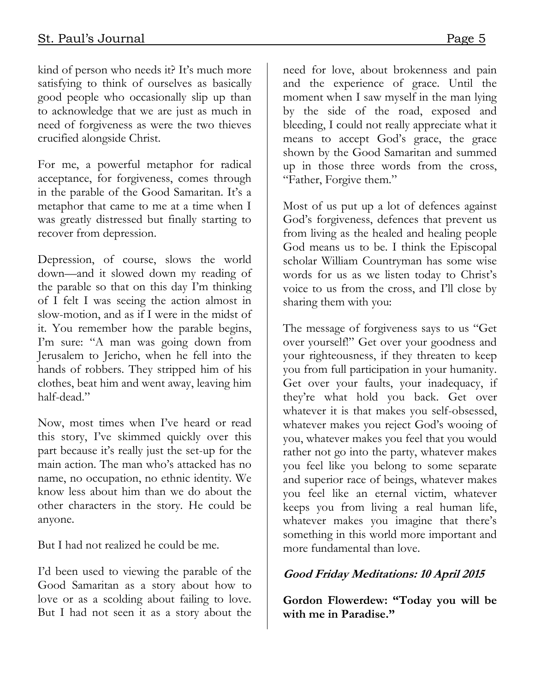kind of person who needs it? It's much more satisfying to think of ourselves as basically good people who occasionally slip up than to acknowledge that we are just as much in need of forgiveness as were the two thieves crucified alongside Christ.

For me, a powerful metaphor for radical acceptance, for forgiveness, comes through in the parable of the Good Samaritan. It's a metaphor that came to me at a time when I was greatly distressed but finally starting to recover from depression.

Depression, of course, slows the world down—and it slowed down my reading of the parable so that on this day I'm thinking of I felt I was seeing the action almost in slow-motion, and as if I were in the midst of it. You remember how the parable begins, I'm sure: "A man was going down from Jerusalem to Jericho, when he fell into the hands of robbers. They stripped him of his clothes, beat him and went away, leaving him half-dead."

Now, most times when I've heard or read this story, I've skimmed quickly over this part because it's really just the set-up for the main action. The man who's attacked has no name, no occupation, no ethnic identity. We know less about him than we do about the other characters in the story. He could be anyone.

But I had not realized he could be me.

I'd been used to viewing the parable of the Good Samaritan as a story about how to love or as a scolding about failing to love. But I had not seen it as a story about the

need for love, about brokenness and pain and the experience of grace. Until the moment when I saw myself in the man lying by the side of the road, exposed and bleeding, I could not really appreciate what it means to accept God's grace, the grace shown by the Good Samaritan and summed up in those three words from the cross, "Father, Forgive them."

Most of us put up a lot of defences against God's forgiveness, defences that prevent us from living as the healed and healing people God means us to be. I think the Episcopal scholar William Countryman has some wise words for us as we listen today to Christ's voice to us from the cross, and I'll close by sharing them with you:

The message of forgiveness says to us "Get over yourself!" Get over your goodness and your righteousness, if they threaten to keep you from full participation in your humanity. Get over your faults, your inadequacy, if they're what hold you back. Get over whatever it is that makes you self-obsessed, whatever makes you reject God's wooing of you, whatever makes you feel that you would rather not go into the party, whatever makes you feel like you belong to some separate and superior race of beings, whatever makes you feel like an eternal victim, whatever keeps you from living a real human life, whatever makes you imagine that there's something in this world more important and more fundamental than love.

#### **Good Friday Meditations: 10 April 2015**

**Gordon Flowerdew: "Today you will be with me in Paradise."**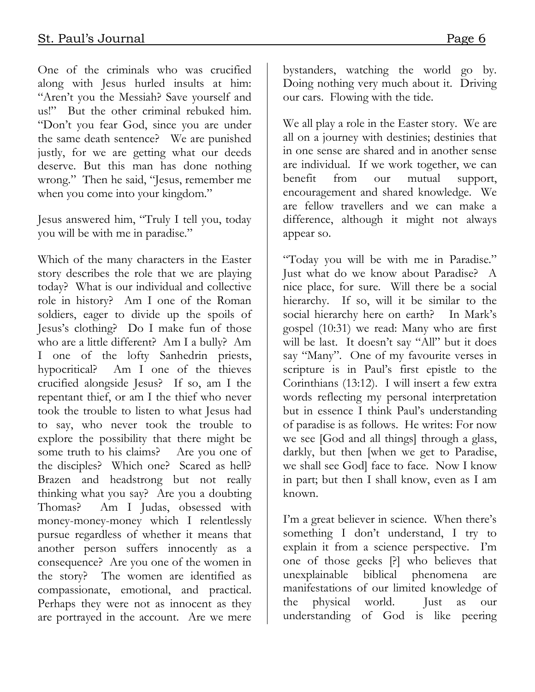One of the criminals who was crucified along with Jesus hurled insults at him: "Aren't you the Messiah? Save yourself and us!" But the other criminal rebuked him. "Don't you fear God, since you are under the same death sentence? We are punished justly, for we are getting what our deeds deserve. But this man has done nothing wrong." Then he said, "Jesus, remember me when you come into your kingdom."

Jesus answered him, "Truly I tell you, today you will be with me in paradise."

Which of the many characters in the Easter story describes the role that we are playing today? What is our individual and collective role in history? Am I one of the Roman soldiers, eager to divide up the spoils of Jesus's clothing? Do I make fun of those who are a little different? Am I a bully? Am I one of the lofty Sanhedrin priests, hypocritical? Am I one of the thieves crucified alongside Jesus? If so, am I the repentant thief, or am I the thief who never took the trouble to listen to what Jesus had to say, who never took the trouble to explore the possibility that there might be some truth to his claims? Are you one of the disciples? Which one? Scared as hell? Brazen and headstrong but not really thinking what you say? Are you a doubting Thomas? Am I Judas, obsessed with money-money-money which I relentlessly pursue regardless of whether it means that another person suffers innocently as a consequence? Are you one of the women in the story? The women are identified as compassionate, emotional, and practical. Perhaps they were not as innocent as they are portrayed in the account. Are we mere

bystanders, watching the world go by. Doing nothing very much about it. Driving our cars. Flowing with the tide.

We all play a role in the Easter story. We are all on a journey with destinies; destinies that in one sense are shared and in another sense are individual. If we work together, we can benefit from our mutual support, encouragement and shared knowledge. We are fellow travellers and we can make a difference, although it might not always appear so.

"Today you will be with me in Paradise." Just what do we know about Paradise? A nice place, for sure. Will there be a social hierarchy. If so, will it be similar to the social hierarchy here on earth? In Mark's gospel (10:31) we read: Many who are first will be last. It doesn't say "All" but it does say "Many". One of my favourite verses in scripture is in Paul's first epistle to the Corinthians (13:12). I will insert a few extra words reflecting my personal interpretation but in essence I think Paul's understanding of paradise is as follows. He writes: For now we see [God and all things] through a glass, darkly, but then [when we get to Paradise, we shall see God] face to face. Now I know in part; but then I shall know, even as I am known.

I'm a great believer in science. When there's something I don't understand, I try to explain it from a science perspective. I'm one of those geeks [?] who believes that unexplainable biblical phenomena are manifestations of our limited knowledge of the physical world. Just as our understanding of God is like peering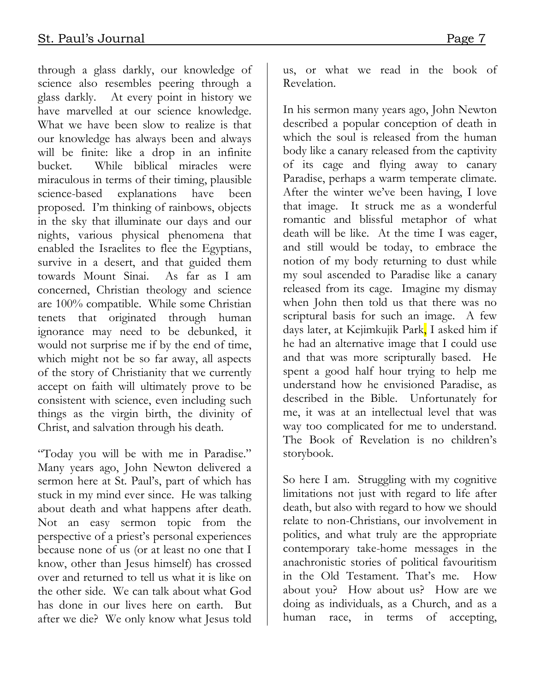through a glass darkly, our knowledge of science also resembles peering through a glass darkly. At every point in history we have marvelled at our science knowledge. What we have been slow to realize is that our knowledge has always been and always will be finite: like a drop in an infinite bucket. While biblical miracles were miraculous in terms of their timing, plausible science-based explanations have been proposed. I'm thinking of rainbows, objects in the sky that illuminate our days and our nights, various physical phenomena that enabled the Israelites to flee the Egyptians, survive in a desert, and that guided them towards Mount Sinai. As far as I am concerned, Christian theology and science are 100% compatible. While some Christian tenets that originated through human ignorance may need to be debunked, it would not surprise me if by the end of time, which might not be so far away, all aspects of the story of Christianity that we currently accept on faith will ultimately prove to be consistent with science, even including such things as the virgin birth, the divinity of Christ, and salvation through his death.

"Today you will be with me in Paradise." Many years ago, John Newton delivered a sermon here at St. Paul's, part of which has stuck in my mind ever since. He was talking about death and what happens after death. Not an easy sermon topic from the perspective of a priest's personal experiences because none of us (or at least no one that I know, other than Jesus himself) has crossed over and returned to tell us what it is like on the other side. We can talk about what God has done in our lives here on earth. But after we die? We only know what Jesus told

us, or what we read in the book of Revelation.

In his sermon many years ago, John Newton described a popular conception of death in which the soul is released from the human body like a canary released from the captivity of its cage and flying away to canary Paradise, perhaps a warm temperate climate. After the winter we've been having, I love that image. It struck me as a wonderful romantic and blissful metaphor of what death will be like. At the time I was eager, and still would be today, to embrace the notion of my body returning to dust while my soul ascended to Paradise like a canary released from its cage. Imagine my dismay when John then told us that there was no scriptural basis for such an image. A few days later, at Kejimkujik Park, I asked him if he had an alternative image that I could use and that was more scripturally based. He spent a good half hour trying to help me understand how he envisioned Paradise, as described in the Bible. Unfortunately for me, it was at an intellectual level that was way too complicated for me to understand. The Book of Revelation is no children's storybook.

So here I am. Struggling with my cognitive limitations not just with regard to life after death, but also with regard to how we should relate to non-Christians, our involvement in politics, and what truly are the appropriate contemporary take-home messages in the anachronistic stories of political favouritism in the Old Testament. That's me. How about you? How about us? How are we doing as individuals, as a Church, and as a human race, in terms of accepting,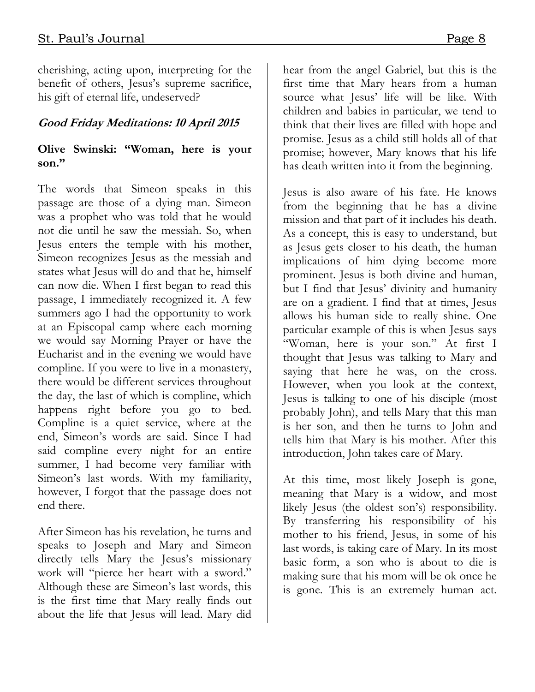cherishing, acting upon, interpreting for the benefit of others, Jesus's supreme sacrifice, his gift of eternal life, undeserved?

#### **Good Friday Meditations: 10 April 2015**

#### **Olive Swinski: "Woman, here is your son."**

The words that Simeon speaks in this passage are those of a dying man. Simeon was a prophet who was told that he would not die until he saw the messiah. So, when Jesus enters the temple with his mother, Simeon recognizes Jesus as the messiah and states what Jesus will do and that he, himself can now die. When I first began to read this passage, I immediately recognized it. A few summers ago I had the opportunity to work at an Episcopal camp where each morning we would say Morning Prayer or have the Eucharist and in the evening we would have compline. If you were to live in a monastery, there would be different services throughout the day, the last of which is compline, which happens right before you go to bed. Compline is a quiet service, where at the end, Simeon's words are said. Since I had said compline every night for an entire summer, I had become very familiar with Simeon's last words. With my familiarity, however, I forgot that the passage does not end there.

After Simeon has his revelation, he turns and speaks to Joseph and Mary and Simeon directly tells Mary the Jesus's missionary work will "pierce her heart with a sword." Although these are Simeon's last words, this is the first time that Mary really finds out about the life that Jesus will lead. Mary did

hear from the angel Gabriel, but this is the first time that Mary hears from a human source what Jesus' life will be like. With children and babies in particular, we tend to think that their lives are filled with hope and promise. Jesus as a child still holds all of that promise; however, Mary knows that his life has death written into it from the beginning.

Jesus is also aware of his fate. He knows from the beginning that he has a divine mission and that part of it includes his death. As a concept, this is easy to understand, but as Jesus gets closer to his death, the human implications of him dying become more prominent. Jesus is both divine and human, but I find that Jesus' divinity and humanity are on a gradient. I find that at times, Jesus allows his human side to really shine. One particular example of this is when Jesus says "Woman, here is your son." At first I thought that Jesus was talking to Mary and saying that here he was, on the cross. However, when you look at the context, Jesus is talking to one of his disciple (most probably John), and tells Mary that this man is her son, and then he turns to John and tells him that Mary is his mother. After this introduction, John takes care of Mary.

At this time, most likely Joseph is gone, meaning that Mary is a widow, and most likely Jesus (the oldest son's) responsibility. By transferring his responsibility of his mother to his friend, Jesus, in some of his last words, is taking care of Mary. In its most basic form, a son who is about to die is making sure that his mom will be ok once he is gone. This is an extremely human act.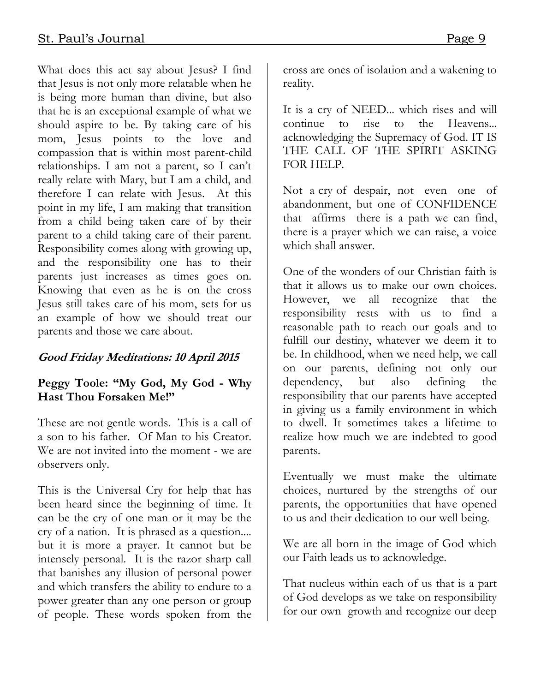What does this act say about Jesus? I find that Jesus is not only more relatable when he is being more human than divine, but also that he is an exceptional example of what we should aspire to be. By taking care of his mom, Jesus points to the love and compassion that is within most parent-child relationships. I am not a parent, so I can't really relate with Mary, but I am a child, and therefore I can relate with Jesus. At this point in my life, I am making that transition from a child being taken care of by their parent to a child taking care of their parent. Responsibility comes along with growing up, and the responsibility one has to their parents just increases as times goes on. Knowing that even as he is on the cross Jesus still takes care of his mom, sets for us an example of how we should treat our parents and those we care about.

#### **Good Friday Meditations: 10 April 2015**

#### **Peggy Toole: "My God, My God - Why Hast Thou Forsaken Me!"**

These are not gentle words. This is a call of a son to his father. Of Man to his Creator. We are not invited into the moment - we are observers only.

This is the Universal Cry for help that has been heard since the beginning of time. It can be the cry of one man or it may be the cry of a nation. It is phrased as a question.... but it is more a prayer. It cannot but be intensely personal. It is the razor sharp call that banishes any illusion of personal power and which transfers the ability to endure to a power greater than any one person or group of people. These words spoken from the

cross are ones of isolation and a wakening to reality.

It is a cry of NEED... which rises and will continue to rise to the Heavens... acknowledging the Supremacy of God. IT IS THE CALL OF THE SPIRIT ASKING FOR HELP.

Not a cry of despair, not even one of abandonment, but one of CONFIDENCE that affirms there is a path we can find, there is a prayer which we can raise, a voice which shall answer.

One of the wonders of our Christian faith is that it allows us to make our own choices. However, we all recognize that the responsibility rests with us to find a reasonable path to reach our goals and to fulfill our destiny, whatever we deem it to be. In childhood, when we need help, we call on our parents, defining not only our dependency, but also defining the responsibility that our parents have accepted in giving us a family environment in which to dwell. It sometimes takes a lifetime to realize how much we are indebted to good parents.

Eventually we must make the ultimate choices, nurtured by the strengths of our parents, the opportunities that have opened to us and their dedication to our well being.

We are all born in the image of God which our Faith leads us to acknowledge.

That nucleus within each of us that is a part of God develops as we take on responsibility for our own growth and recognize our deep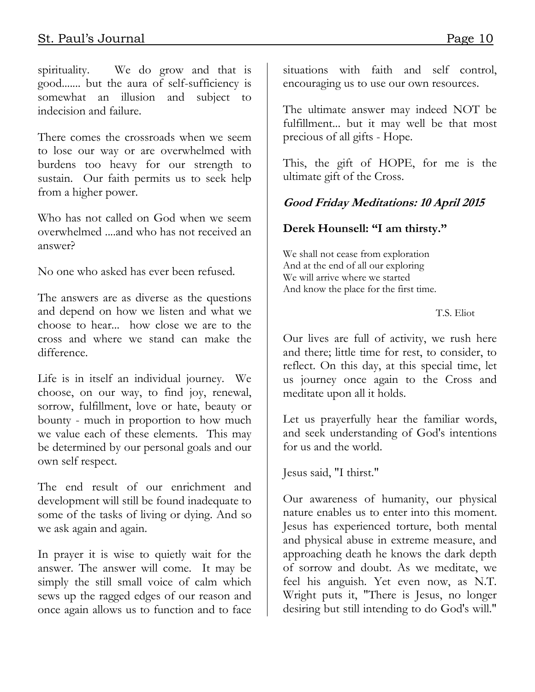spirituality. We do grow and that is good....... but the aura of self-sufficiency is somewhat an illusion and subject to indecision and failure.

There comes the crossroads when we seem to lose our way or are overwhelmed with burdens too heavy for our strength to sustain. Our faith permits us to seek help from a higher power.

Who has not called on God when we seem overwhelmed ....and who has not received an answer?

No one who asked has ever been refused.

The answers are as diverse as the questions and depend on how we listen and what we choose to hear... how close we are to the cross and where we stand can make the difference.

Life is in itself an individual journey. We choose, on our way, to find joy, renewal, sorrow, fulfillment, love or hate, beauty or bounty - much in proportion to how much we value each of these elements. This may be determined by our personal goals and our own self respect.

The end result of our enrichment and development will still be found inadequate to some of the tasks of living or dying. And so we ask again and again.

In prayer it is wise to quietly wait for the answer. The answer will come. It may be simply the still small voice of calm which sews up the ragged edges of our reason and once again allows us to function and to face

situations with faith and self control, encouraging us to use our own resources.

The ultimate answer may indeed NOT be fulfillment... but it may well be that most precious of all gifts - Hope.

This, the gift of HOPE, for me is the ultimate gift of the Cross.

#### **Good Friday Meditations: 10 April 2015**

#### **Derek Hounsell: "I am thirsty."**

We shall not cease from exploration And at the end of all our exploring We will arrive where we started And know the place for the first time.

#### T.S. Eliot

Our lives are full of activity, we rush here and there; little time for rest, to consider, to reflect. On this day, at this special time, let us journey once again to the Cross and meditate upon all it holds.

Let us prayerfully hear the familiar words, and seek understanding of God's intentions for us and the world.

Jesus said, "I thirst."

Our awareness of humanity, our physical nature enables us to enter into this moment. Jesus has experienced torture, both mental and physical abuse in extreme measure, and approaching death he knows the dark depth of sorrow and doubt. As we meditate, we feel his anguish. Yet even now, as N.T. Wright puts it, "There is Jesus, no longer desiring but still intending to do God's will."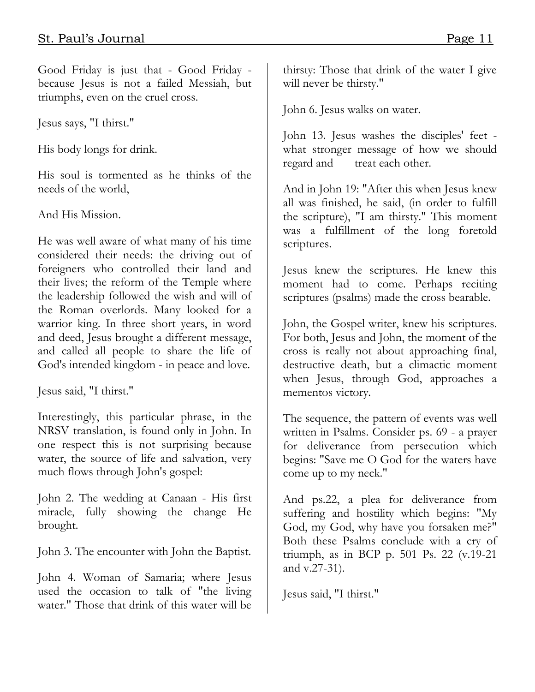Good Friday is just that - Good Friday because Jesus is not a failed Messiah, but triumphs, even on the cruel cross.

Jesus says, "I thirst."

His body longs for drink.

His soul is tormented as he thinks of the needs of the world,

And His Mission.

He was well aware of what many of his time considered their needs: the driving out of foreigners who controlled their land and their lives; the reform of the Temple where the leadership followed the wish and will of the Roman overlords. Many looked for a warrior king. In three short years, in word and deed, Jesus brought a different message, and called all people to share the life of God's intended kingdom - in peace and love.

Jesus said, "I thirst."

Interestingly, this particular phrase, in the NRSV translation, is found only in John. In one respect this is not surprising because water, the source of life and salvation, very much flows through John's gospel:

John 2. The wedding at Canaan - His first miracle, fully showing the change He brought.

John 3. The encounter with John the Baptist.

John 4. Woman of Samaria; where Jesus used the occasion to talk of "the living water." Those that drink of this water will be thirsty: Those that drink of the water I give will never be thirsty."

John 6. Jesus walks on water.

John 13. Jesus washes the disciples' feet what stronger message of how we should regard and treat each other.

And in John 19: "After this when Jesus knew all was finished, he said, (in order to fulfill the scripture), "I am thirsty." This moment was a fulfillment of the long foretold scriptures.

Jesus knew the scriptures. He knew this moment had to come. Perhaps reciting scriptures (psalms) made the cross bearable.

John, the Gospel writer, knew his scriptures. For both, Jesus and John, the moment of the cross is really not about approaching final, destructive death, but a climactic moment when Jesus, through God, approaches a mementos victory.

The sequence, the pattern of events was well written in Psalms. Consider ps. 69 - a prayer for deliverance from persecution which begins: "Save me O God for the waters have come up to my neck."

And ps.22, a plea for deliverance from suffering and hostility which begins: "My God, my God, why have you forsaken me?" Both these Psalms conclude with a cry of triumph, as in BCP p. 501 Ps. 22 (v.19-21 and v.27-31).

Jesus said, "I thirst."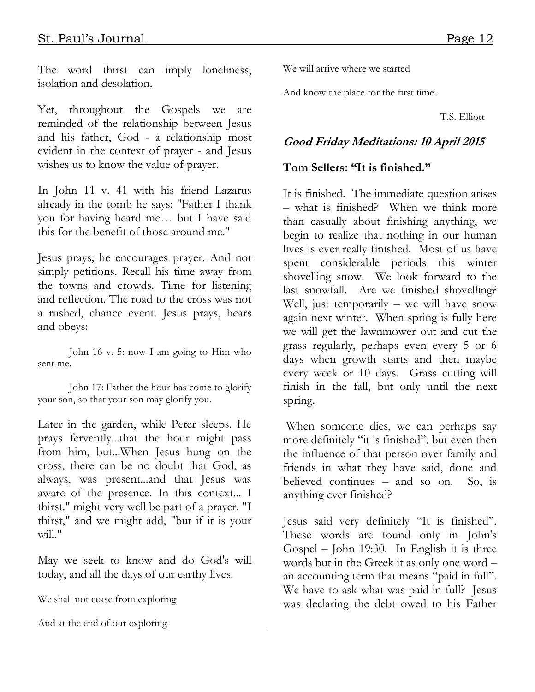The word thirst can imply loneliness, isolation and desolation.

Yet, throughout the Gospels we are reminded of the relationship between Jesus and his father, God - a relationship most evident in the context of prayer - and Jesus wishes us to know the value of prayer.

In John 11 v. 41 with his friend Lazarus already in the tomb he says: "Father I thank you for having heard me… but I have said this for the benefit of those around me."

Jesus prays; he encourages prayer. And not simply petitions. Recall his time away from the towns and crowds. Time for listening and reflection. The road to the cross was not a rushed, chance event. Jesus prays, hears and obeys:

John 16 v. 5: now I am going to Him who sent me.

John 17: Father the hour has come to glorify your son, so that your son may glorify you.

Later in the garden, while Peter sleeps. He prays fervently...that the hour might pass from him, but...When Jesus hung on the cross, there can be no doubt that God, as always, was present...and that Jesus was aware of the presence. In this context... I thirst." might very well be part of a prayer. "I thirst," and we might add, "but if it is your will."

May we seek to know and do God's will today, and all the days of our earthy lives.

We shall not cease from exploring

And at the end of our exploring

We will arrive where we started

And know the place for the first time.

T.S. Elliott

#### **Good Friday Meditations: 10 April 2015**

#### **Tom Sellers: "It is finished."**

It is finished. The immediate question arises – what is finished? When we think more than casually about finishing anything, we begin to realize that nothing in our human lives is ever really finished. Most of us have spent considerable periods this winter shovelling snow. We look forward to the last snowfall. Are we finished shovelling? Well, just temporarily – we will have snow again next winter. When spring is fully here we will get the lawnmower out and cut the grass regularly, perhaps even every 5 or 6 days when growth starts and then maybe every week or 10 days. Grass cutting will finish in the fall, but only until the next spring.

When someone dies, we can perhaps say more definitely "it is finished", but even then the influence of that person over family and friends in what they have said, done and believed continues – and so on. So, is anything ever finished?

Jesus said very definitely "It is finished". These words are found only in John's Gospel – John 19:30. In English it is three words but in the Greek it as only one word – an accounting term that means "paid in full". We have to ask what was paid in full? Jesus was declaring the debt owed to his Father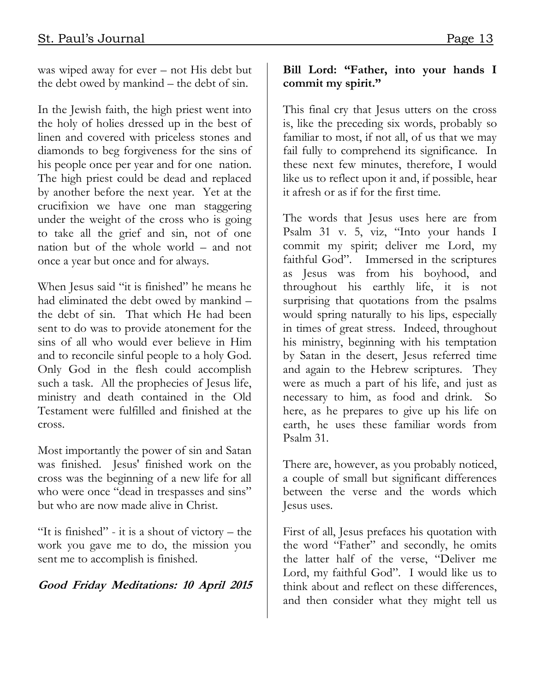was wiped away for ever – not His debt but the debt owed by mankind – the debt of sin.

In the Jewish faith, the high priest went into the holy of holies dressed up in the best of linen and covered with priceless stones and diamonds to beg forgiveness for the sins of his people once per year and for one nation. The high priest could be dead and replaced by another before the next year. Yet at the crucifixion we have one man staggering under the weight of the cross who is going to take all the grief and sin, not of one nation but of the whole world – and not once a year but once and for always.

When Jesus said "it is finished" he means he had eliminated the debt owed by mankind – the debt of sin. That which He had been sent to do was to provide atonement for the sins of all who would ever believe in Him and to reconcile sinful people to a holy God. Only God in the flesh could accomplish such a task. All the prophecies of Jesus life, ministry and death contained in the Old Testament were fulfilled and finished at the cross.

Most importantly the power of sin and Satan was finished. Jesus' finished work on the cross was the beginning of a new life for all who were once "dead in trespasses and sins" but who are now made alive in Christ.

"It is finished" - it is a shout of victory  $-$  the work you gave me to do, the mission you sent me to accomplish is finished.

#### **Good Friday Meditations: 10 April 2015**

#### **Bill Lord: "Father, into your hands I commit my spirit."**

This final cry that Jesus utters on the cross is, like the preceding six words, probably so familiar to most, if not all, of us that we may fail fully to comprehend its significance. In these next few minutes, therefore, I would like us to reflect upon it and, if possible, hear it afresh or as if for the first time.

The words that Jesus uses here are from Psalm 31 v. 5, viz, "Into your hands I commit my spirit; deliver me Lord, my faithful God". Immersed in the scriptures as Jesus was from his boyhood, and throughout his earthly life, it is not surprising that quotations from the psalms would spring naturally to his lips, especially in times of great stress. Indeed, throughout his ministry, beginning with his temptation by Satan in the desert, Jesus referred time and again to the Hebrew scriptures. They were as much a part of his life, and just as necessary to him, as food and drink. So here, as he prepares to give up his life on earth, he uses these familiar words from Psalm 31.

There are, however, as you probably noticed, a couple of small but significant differences between the verse and the words which Jesus uses.

First of all, Jesus prefaces his quotation with the word "Father" and secondly, he omits the latter half of the verse, "Deliver me Lord, my faithful God". I would like us to think about and reflect on these differences, and then consider what they might tell us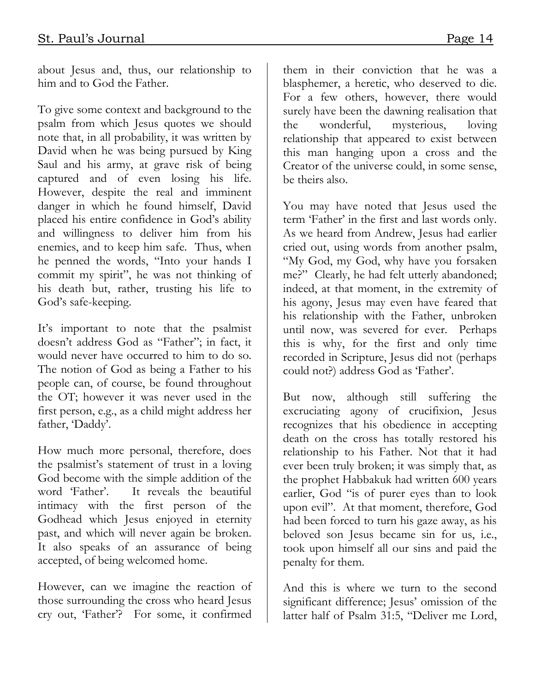about Jesus and, thus, our relationship to him and to God the Father.

To give some context and background to the psalm from which Jesus quotes we should note that, in all probability, it was written by David when he was being pursued by King Saul and his army, at grave risk of being captured and of even losing his life. However, despite the real and imminent danger in which he found himself, David placed his entire confidence in God's ability and willingness to deliver him from his enemies, and to keep him safe. Thus, when he penned the words, "Into your hands I commit my spirit", he was not thinking of his death but, rather, trusting his life to God's safe-keeping.

It's important to note that the psalmist doesn't address God as "Father"; in fact, it would never have occurred to him to do so. The notion of God as being a Father to his people can, of course, be found throughout the OT; however it was never used in the first person, e.g., as a child might address her father, 'Daddy'.

How much more personal, therefore, does the psalmist's statement of trust in a loving God become with the simple addition of the word 'Father'. It reveals the beautiful intimacy with the first person of the Godhead which Jesus enjoyed in eternity past, and which will never again be broken. It also speaks of an assurance of being accepted, of being welcomed home.

However, can we imagine the reaction of those surrounding the cross who heard Jesus cry out, 'Father'? For some, it confirmed

them in their conviction that he was a blasphemer, a heretic, who deserved to die. For a few others, however, there would surely have been the dawning realisation that the wonderful, mysterious, loving relationship that appeared to exist between this man hanging upon a cross and the Creator of the universe could, in some sense, be theirs also.

You may have noted that Jesus used the term 'Father' in the first and last words only. As we heard from Andrew, Jesus had earlier cried out, using words from another psalm, "My God, my God, why have you forsaken me?" Clearly, he had felt utterly abandoned; indeed, at that moment, in the extremity of his agony, Jesus may even have feared that his relationship with the Father, unbroken until now, was severed for ever. Perhaps this is why, for the first and only time recorded in Scripture, Jesus did not (perhaps could not?) address God as 'Father'.

But now, although still suffering the excruciating agony of crucifixion, Jesus recognizes that his obedience in accepting death on the cross has totally restored his relationship to his Father. Not that it had ever been truly broken; it was simply that, as the prophet Habbakuk had written 600 years earlier, God "is of purer eyes than to look upon evil". At that moment, therefore, God had been forced to turn his gaze away, as his beloved son Jesus became sin for us, i.e., took upon himself all our sins and paid the penalty for them.

And this is where we turn to the second significant difference; Jesus' omission of the latter half of Psalm 31:5, "Deliver me Lord,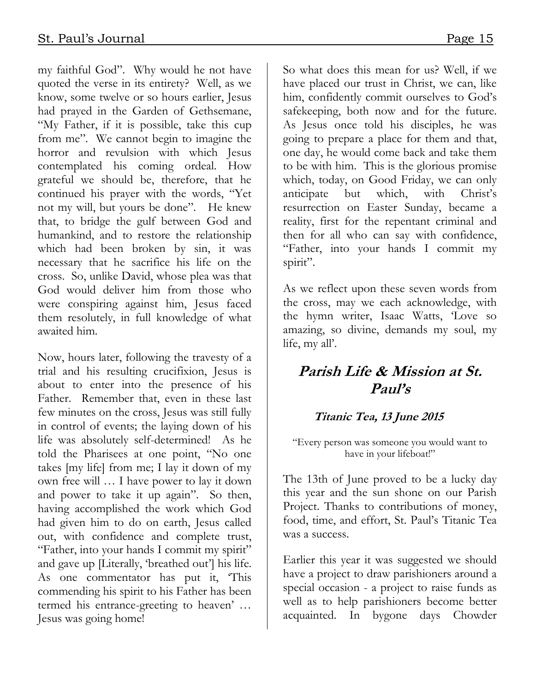my faithful God". Why would he not have quoted the verse in its entirety? Well, as we know, some twelve or so hours earlier, Jesus had prayed in the Garden of Gethsemane, "My Father, if it is possible, take this cup from me". We cannot begin to imagine the horror and revulsion with which Jesus contemplated his coming ordeal. How grateful we should be, therefore, that he continued his prayer with the words, "Yet not my will, but yours be done". He knew that, to bridge the gulf between God and humankind, and to restore the relationship which had been broken by sin, it was necessary that he sacrifice his life on the cross. So, unlike David, whose plea was that God would deliver him from those who were conspiring against him, Jesus faced them resolutely, in full knowledge of what awaited him.

Now, hours later, following the travesty of a trial and his resulting crucifixion, Jesus is about to enter into the presence of his Father. Remember that, even in these last few minutes on the cross, Jesus was still fully in control of events; the laying down of his life was absolutely self-determined! As he told the Pharisees at one point, "No one takes [my life] from me; I lay it down of my own free will … I have power to lay it down and power to take it up again". So then, having accomplished the work which God had given him to do on earth, Jesus called out, with confidence and complete trust, "Father, into your hands I commit my spirit" and gave up [Literally, 'breathed out'] his life. As one commentator has put it, 'This commending his spirit to his Father has been termed his entrance-greeting to heaven' … Jesus was going home!

So what does this mean for us? Well, if we have placed our trust in Christ, we can, like him, confidently commit ourselves to God's safekeeping, both now and for the future. As Jesus once told his disciples, he was going to prepare a place for them and that, one day, he would come back and take them to be with him. This is the glorious promise which, today, on Good Friday, we can only anticipate but which, with Christ's resurrection on Easter Sunday, became a reality, first for the repentant criminal and then for all who can say with confidence, "Father, into your hands I commit my spirit".

As we reflect upon these seven words from the cross, may we each acknowledge, with the hymn writer, Isaac Watts, 'Love so amazing, so divine, demands my soul, my life, my all'.

# **Parish Life & Mission at St. Paul's**

#### **Titanic Tea, 13 June 2015**

#### "Every person was someone you would want to have in your lifeboat!"

The 13th of June proved to be a lucky day this year and the sun shone on our Parish Project. Thanks to contributions of money, food, time, and effort, St. Paul's Titanic Tea was a success.

Earlier this year it was suggested we should have a project to draw parishioners around a special occasion - a project to raise funds as well as to help parishioners become better acquainted. In bygone days Chowder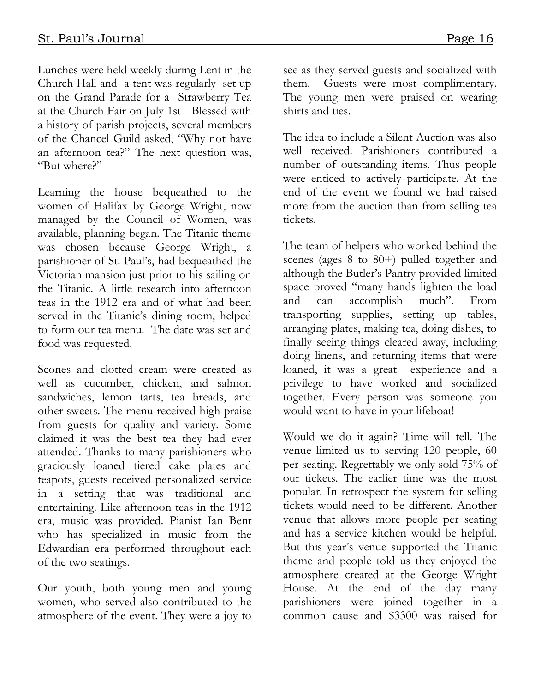Lunches were held weekly during Lent in the Church Hall and a tent was regularly set up on the Grand Parade for a Strawberry Tea at the Church Fair on July 1st Blessed with a history of parish projects, several members of the Chancel Guild asked, "Why not have an afternoon tea?" The next question was, "But where?"

Learning the house bequeathed to the women of Halifax by George Wright, now managed by the Council of Women, was available, planning began. The Titanic theme was chosen because George Wright, a parishioner of St. Paul's, had bequeathed the Victorian mansion just prior to his sailing on the Titanic. A little research into afternoon teas in the 1912 era and of what had been served in the Titanic's dining room, helped to form our tea menu. The date was set and food was requested.

Scones and clotted cream were created as well as cucumber, chicken, and salmon sandwiches, lemon tarts, tea breads, and other sweets. The menu received high praise from guests for quality and variety. Some claimed it was the best tea they had ever attended. Thanks to many parishioners who graciously loaned tiered cake plates and teapots, guests received personalized service in a setting that was traditional and entertaining. Like afternoon teas in the 1912 era, music was provided. Pianist Ian Bent who has specialized in music from the Edwardian era performed throughout each of the two seatings.

Our youth, both young men and young women, who served also contributed to the atmosphere of the event. They were a joy to

see as they served guests and socialized with them. Guests were most complimentary. The young men were praised on wearing shirts and ties.

The idea to include a Silent Auction was also well received. Parishioners contributed a number of outstanding items. Thus people were enticed to actively participate. At the end of the event we found we had raised more from the auction than from selling tea tickets.

The team of helpers who worked behind the scenes (ages 8 to 80+) pulled together and although the Butler's Pantry provided limited space proved "many hands lighten the load and can accomplish much". From transporting supplies, setting up tables, arranging plates, making tea, doing dishes, to finally seeing things cleared away, including doing linens, and returning items that were loaned, it was a great experience and a privilege to have worked and socialized together. Every person was someone you would want to have in your lifeboat!

Would we do it again? Time will tell. The venue limited us to serving 120 people, 60 per seating. Regrettably we only sold 75% of our tickets. The earlier time was the most popular. In retrospect the system for selling tickets would need to be different. Another venue that allows more people per seating and has a service kitchen would be helpful. But this year's venue supported the Titanic theme and people told us they enjoyed the atmosphere created at the George Wright House. At the end of the day many parishioners were joined together in a common cause and \$3300 was raised for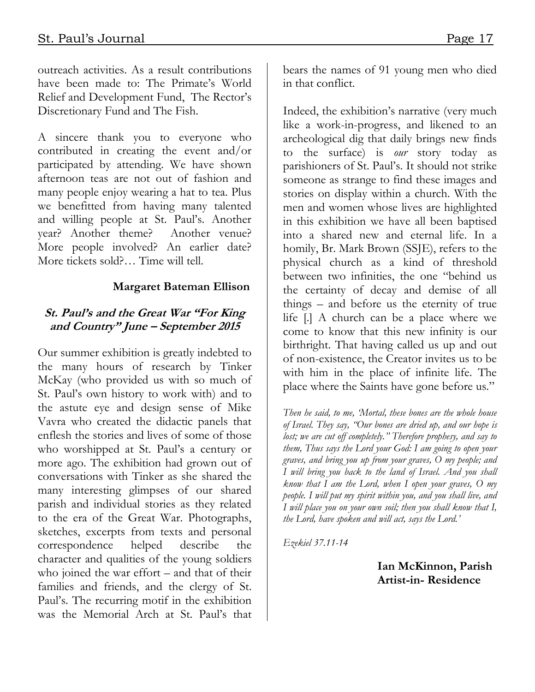outreach activities. As a result contributions have been made to: The Primate's World Relief and Development Fund, The Rector's Discretionary Fund and The Fish.

A sincere thank you to everyone who contributed in creating the event and/or participated by attending. We have shown afternoon teas are not out of fashion and many people enjoy wearing a hat to tea. Plus we benefitted from having many talented and willing people at St. Paul's. Another year? Another theme? Another venue? More people involved? An earlier date? More tickets sold?… Time will tell.

#### **Margaret Bateman Ellison**

#### **St. Paul's and the Great War "For King and Country" June – September 2015**

Our summer exhibition is greatly indebted to the many hours of research by Tinker McKay (who provided us with so much of St. Paul's own history to work with) and to the astute eye and design sense of Mike Vavra who created the didactic panels that enflesh the stories and lives of some of those who worshipped at St. Paul's a century or more ago. The exhibition had grown out of conversations with Tinker as she shared the many interesting glimpses of our shared parish and individual stories as they related to the era of the Great War. Photographs, sketches, excerpts from texts and personal correspondence helped describe the character and qualities of the young soldiers who joined the war effort – and that of their families and friends, and the clergy of St. Paul's. The recurring motif in the exhibition was the Memorial Arch at St. Paul's that bears the names of 91 young men who died in that conflict.

Indeed, the exhibition's narrative (very much like a work-in-progress, and likened to an archeological dig that daily brings new finds to the surface) is *our* story today as parishioners of St. Paul's. It should not strike someone as strange to find these images and stories on display within a church. With the men and women whose lives are highlighted in this exhibition we have all been baptised into a shared new and eternal life. In a homily, Br. Mark Brown (SSJE), refers to the physical church as a kind of threshold between two infinities, the one "behind us the certainty of decay and demise of all things – and before us the eternity of true life [.] A church can be a place where we come to know that this new infinity is our birthright. That having called us up and out of non-existence, the Creator invites us to be with him in the place of infinite life. The place where the Saints have gone before us."

*Then he said, to me, 'Mortal, these bones are the whole house of Israel. They say, "Our bones are dried up, and our hope is*  lost; we are cut off completely." Therefore prophesy, and say to *them, Thus says the Lord your God: I am going to open your graves, and bring you up from your graves, O my people; and I will bring you back to the land of Israel. And you shall know that I am the Lord, when I open your graves, O my people. I will put my spirit within you, and you shall live, and I will place you on your own soil; then you shall know that I, the Lord, have spoken and will act, says the Lord.'*

*Ezekiel 37.11-14*

**Ian McKinnon, Parish Artist-in- Residence**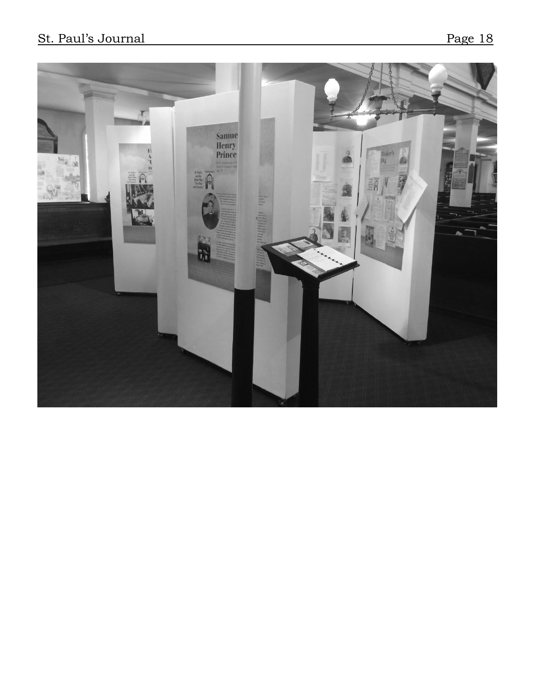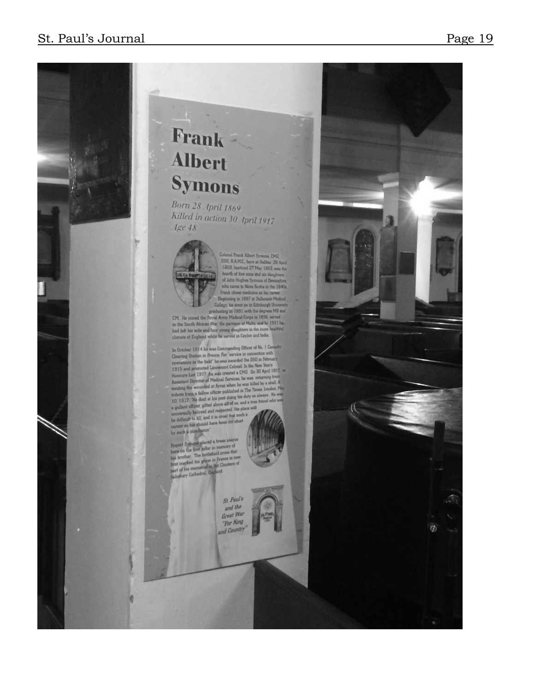# Frank-**Albert Symons**

 $\begin{array}{ccc} \ddots & \ddots & \ddots \end{array}$ 

Born 28 April 1869 Killed in action 30 April 1917  $| \text{ige } 48$ 



Colonal Frank Albert Symons, CMG,<br>DSO, RAMC, born at Habfax, 28 April<br>1869, baptized 27 May 1869, was the Fourth of five sons and six daughters<br>al Jahn Hughes Symans of Devanshire,<br>who came to Nova Scotia in the 1840s

Who came to Neve Scotta in the 1840s<br>
Frank chose modeline as he career<br>
Frank chose modeling in 1887 at Dalbourgh University<br>
College ha went on to Edmoburgh University<br>
CPL He yound the Royal Acroy Market and the spread<br>

In October 1914 he was Commanding Officer of No. 1 Caracaly<br>
Clearing Sistion in France. For 'service in connection with<br>
Clearing Sistion in France. For 'service in connection with<br>
1915 and promoted Lieutenant Coloral i In October 1914 he was Commanding Officer of No. 1 Casualty

St Paul's and the Great War "For King and Country

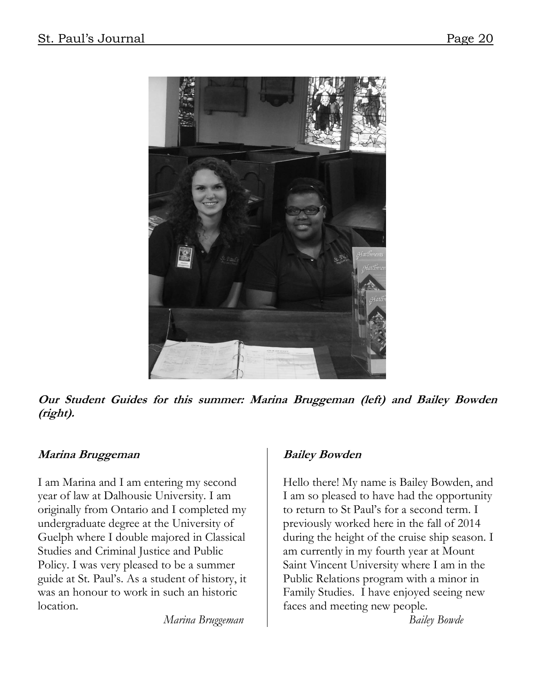

**Our Student Guides for this summer: Marina Bruggeman (left) and Bailey Bowden (right).**

#### **Marina Bruggeman**

I am Marina and I am entering my second year of law at Dalhousie University. I am originally from Ontario and I completed my undergraduate degree at the University of Guelph where I double majored in Classical Studies and Criminal Justice and Public Policy. I was very pleased to be a summer guide at St. Paul's. As a student of history, it was an honour to work in such an historic location.

*Marina Bruggeman*

#### **Bailey Bowden**

Hello there! My name is Bailey Bowden, and I am so pleased to have had the opportunity to return to St Paul's for a second term. I previously worked here in the fall of 2014 during the height of the cruise ship season. I am currently in my fourth year at Mount Saint Vincent University where I am in the Public Relations program with a minor in Family Studies. I have enjoyed seeing new faces and meeting new people.

*Bailey Bowde*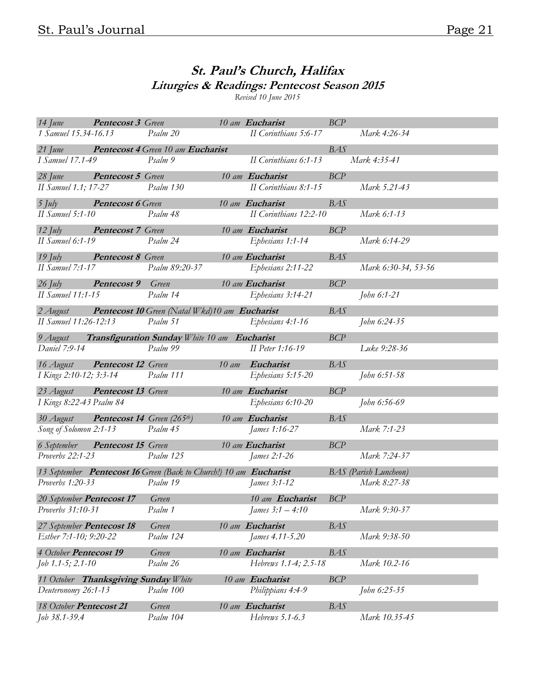### **St. Paul's Church, Halifax Liturgies & Readings: Pentecost Season 2015**

*Revised 10 June 2015*

| $14$ June                                   | <b>Pentecost 3</b> Green  |                                                       | 10 am Eucharist                                                                 | BCP        |                              |
|---------------------------------------------|---------------------------|-------------------------------------------------------|---------------------------------------------------------------------------------|------------|------------------------------|
| 1 Samuel 15.34-16.13                        |                           | Psalm 20                                              | II Corinthians 5:6-17                                                           |            | Mark 4:26-34                 |
| $21$ June                                   |                           | <b>Pentecost 4</b> Green 10 am Eucharist              |                                                                                 | BAS        |                              |
| I Samuel 17.1-49                            |                           | Psalm 9                                               | II Corinthians 6:1-13                                                           |            | Mark 4:35-41                 |
| $28$ June                                   | <b>Pentecost 5</b> Green  |                                                       | 10 am Eucharist                                                                 | BCP        |                              |
| II Samuel 1.1; 17-27                        |                           | Psalm 130                                             | II Corinthians 8:1-15                                                           |            | Mark 5.21-43                 |
| $5 \; \mu$                                  | <b>Pentecost 6 Green</b>  |                                                       | 10 am Eucharist                                                                 | <b>BAS</b> |                              |
| <b>II</b> Samuel 5:1-10                     |                           | Psalm 48                                              | II Corinthians 12:2-10                                                          |            | Mark 6:1-13                  |
| $12$ July                                   | <b>Pentecost 7 Green</b>  |                                                       | 10 am Eucharist                                                                 | <b>BCP</b> |                              |
| II Samuel $6:1-19$                          |                           | Psalm 24                                              | Ephesians 1:1-14                                                                |            | Mark 6:14-29                 |
| $19$ July                                   | <b>Pentecost 8</b> Green  |                                                       | 10 am Eucharist                                                                 | <b>BAS</b> |                              |
| II Samuel 7:1-17                            |                           | Psalm 89:20-37                                        | Ephesians 2:11-22                                                               |            | Mark 6:30-34, 53-56          |
| $26$ July                                   | <b>Pentecost 9</b> Green  |                                                       | 10 am Eucharist                                                                 | <b>BCP</b> |                              |
| <b>II</b> Samuel 11:1-15                    |                           | Psalm 14                                              | Ephesians 3:14-21                                                               |            | John 6:1-21                  |
| 2 August                                    |                           | <b>Pentecost 10</b> Green (Natal Wkd)10 am Eucharist  |                                                                                 | <b>BAS</b> |                              |
| II Samuel 11:26-12:13                       |                           | Psalm 51                                              | Ephesians 4:1-16                                                                |            | John 6:24-35                 |
|                                             |                           | 9 August Transfiguration Sunday White 10 am Eucharist |                                                                                 | BCP        |                              |
| Daniel 7:9-14                               |                           | Psalm 99                                              | II Peter 1:16-19                                                                |            | Luke 9:28-36                 |
| 16 August                                   | <b>Pentecost 12</b> Green |                                                       | 10 am Eucharist                                                                 | BAS        |                              |
| I Kings 2:10-12; 3:3-14                     |                           | Psalm 111                                             | Ephesians 5:15-20                                                               |            | John 6:51-58                 |
| 23 August                                   | <b>Pentecost 13</b> Green |                                                       | 10 am Eucharist                                                                 | BCP        |                              |
| I Kings 8:22-43 Psalm 84                    |                           |                                                       | Ephesians 6:10-20                                                               |            | John 6:56-69                 |
| 30 August <b>Pentecost 14</b> Green (265th) |                           |                                                       | 10 am Eucharist                                                                 | <b>BAS</b> |                              |
| Song of Solomon 2:1-13                      |                           | Psalm 45                                              | James 1:16-27                                                                   |            | Mark 7:1-23                  |
| 6 September                                 | <b>Pentecost 15</b> Green |                                                       | 10 am Eucharist                                                                 | BCP        |                              |
| Proverbs 22:1-23                            |                           | Psalm 125                                             | James 2:1-26                                                                    |            | Mark 7:24-37                 |
|                                             |                           |                                                       | 13 September <b>Pentecost 16</b> Green (Back to Church!) 10 am <b>Eucharist</b> |            | <b>BAS</b> (Parish Luncheon) |
| Proverbs 1:20-33                            |                           | Psalm 19                                              | James 3:1-12                                                                    |            | Mark 8:27-38                 |
| 20 September Pentecost 17 Green             |                           |                                                       | 10 am Eucharist                                                                 | BCP        |                              |
| <i>Proverbs</i> 31:10-31                    |                           | Psalm 1                                               | <i>James</i> $3:1 - 4:10$                                                       |            | Mark 9:30-37                 |
| 27 September Pentecost 18                   |                           | Green                                                 | 10 am Eucharist                                                                 | <b>BAS</b> |                              |
| Esther 7:1-10; 9:20-22                      |                           | Psalm 124                                             | James 4.11-5.20                                                                 |            | Mark 9:38-50                 |
| 4 October Pentecost 19                      |                           | Green                                                 | 10 am Eucharist                                                                 | <b>BAS</b> |                              |
| $Job 1.1-5; 2.1-10$                         |                           | Psalm 26                                              | Hebrews 1.1-4; 2.5-18                                                           |            | Mark 10.2-16                 |
| 11 October Thanksgiving Sunday White        |                           |                                                       | 10 am Eucharist                                                                 | <b>BCP</b> |                              |
| Deuteronomy 26:1-13                         |                           | Psalm 100                                             | Philippians 4.4-9                                                               |            | John 6:25-35                 |
| 18 October Pentecost 21                     |                           | Green                                                 | 10 am Eucharist                                                                 | <b>BAS</b> |                              |
| Job 38.1-39.4                               |                           | Psalm 104                                             | Hebrews 5.1-6.3                                                                 |            | Mark 10.35-45                |